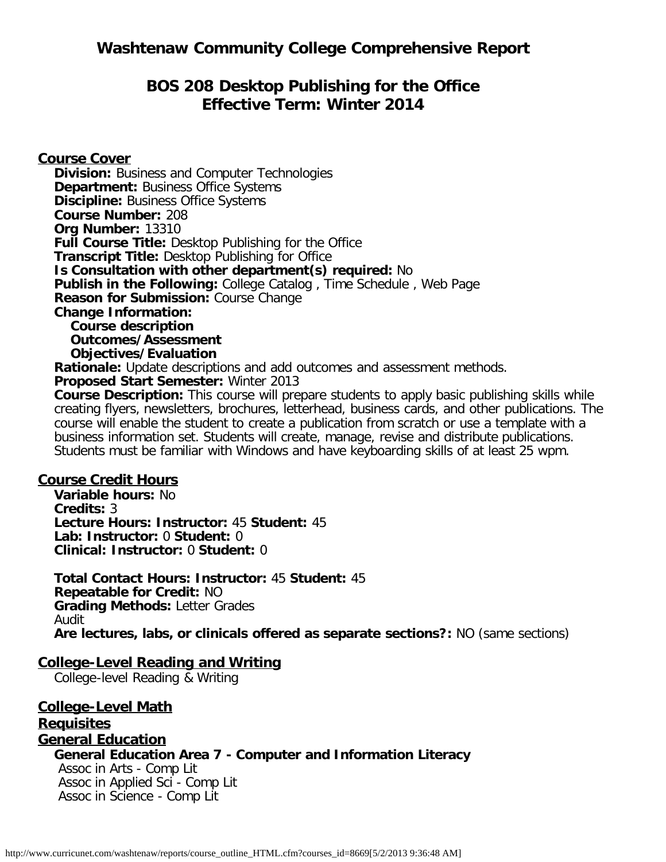## **BOS 208 Desktop Publishing for the Office Effective Term: Winter 2014**

**Course Cover**

**Division:** Business and Computer Technologies **Department: Business Office Systems Discipline: Business Office Systems Course Number:** 208 **Org Number:** 13310 **Full Course Title:** Desktop Publishing for the Office **Transcript Title:** Desktop Publishing for Office **Is Consultation with other department(s) required:** No **Publish in the Following:** College Catalog , Time Schedule , Web Page **Reason for Submission:** Course Change **Change Information: Course description Outcomes/Assessment Objectives/Evaluation Rationale:** Update descriptions and add outcomes and assessment methods. **Proposed Start Semester:** Winter 2013

**Course Description:** This course will prepare students to apply basic publishing skills while creating flyers, newsletters, brochures, letterhead, business cards, and other publications. The course will enable the student to create a publication from scratch or use a template with a business information set. Students will create, manage, revise and distribute publications. Students must be familiar with Windows and have keyboarding skills of at least 25 wpm.

#### **Course Credit Hours**

**Variable hours:** No **Credits:** 3 **Lecture Hours: Instructor:** 45 **Student:** 45 **Lab: Instructor:** 0 **Student:** 0 **Clinical: Instructor:** 0 **Student:** 0

**Total Contact Hours: Instructor:** 45 **Student:** 45 **Repeatable for Credit:** NO **Grading Methods:** Letter Grades Audit **Are lectures, labs, or clinicals offered as separate sections?:** NO (same sections)

### **College-Level Reading and Writing**

College-level Reading & Writing

**College-Level Math Requisites General Education General Education Area 7 - Computer and Information Literacy** Assoc in Arts - Comp Lit

Assoc in Applied Sci - Comp Lit Assoc in Science - Comp Lit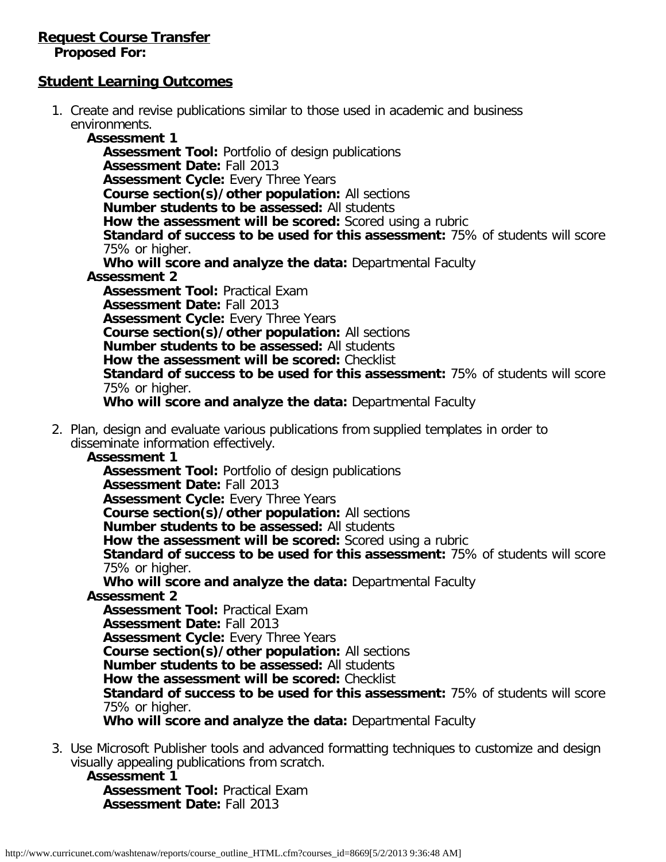# **Request Course Transfer**

**Proposed For:**

#### **Student Learning Outcomes**

1. Create and revise publications similar to those used in academic and business environments.

**Assessment 1 Assessment Tool:** Portfolio of design publications **Assessment Date:** Fall 2013 **Assessment Cycle:** Every Three Years **Course section(s)/other population:** All sections **Number students to be assessed:** All students **How the assessment will be scored:** Scored using a rubric **Standard of success to be used for this assessment:** 75% of students will score 75% or higher. **Who will score and analyze the data:** Departmental Faculty **Assessment 2 Assessment Tool:** Practical Exam **Assessment Date:** Fall 2013 **Assessment Cycle: Every Three Years Course section(s)/other population:** All sections **Number students to be assessed:** All students **How the assessment will be scored:** Checklist **Standard of success to be used for this assessment:** 75% of students will score 75% or higher. **Who will score and analyze the data:** Departmental Faculty

2. Plan, design and evaluate various publications from supplied templates in order to disseminate information effectively.

**Assessment 1**

**Assessment Tool:** Portfolio of design publications **Assessment Date:** Fall 2013 **Assessment Cycle:** Every Three Years **Course section(s)/other population:** All sections **Number students to be assessed:** All students **How the assessment will be scored:** Scored using a rubric **Standard of success to be used for this assessment:** 75% of students will score 75% or higher. **Who will score and analyze the data:** Departmental Faculty **Assessment 2 Assessment Tool:** Practical Exam **Assessment Date:** Fall 2013 **Assessment Cycle:** Every Three Years **Course section(s)/other population:** All sections **Number students to be assessed:** All students **How the assessment will be scored:** Checklist

**Standard of success to be used for this assessment:** 75% of students will score 75% or higher.

**Who will score and analyze the data:** Departmental Faculty

3. Use Microsoft Publisher tools and advanced formatting techniques to customize and design visually appealing publications from scratch.

**Assessment 1 Assessment Tool:** Practical Exam **Assessment Date:** Fall 2013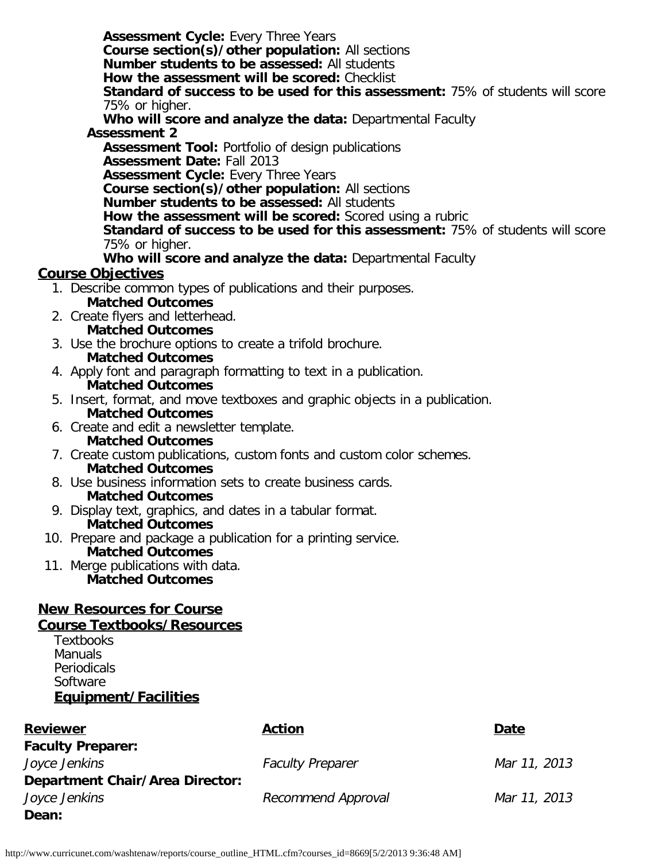**Assessment Cycle:** Every Three Years **Course section(s)/other population:** All sections **Number students to be assessed:** All students **How the assessment will be scored:** Checklist **Standard of success to be used for this assessment:** 75% of students will score 75% or higher. **Who will score and analyze the data:** Departmental Faculty **Assessment 2 Assessment Tool:** Portfolio of design publications **Assessment Date:** Fall 2013 **Assessment Cycle:** Every Three Years **Course section(s)/other population:** All sections **Number students to be assessed:** All students **How the assessment will be scored:** Scored using a rubric **Standard of success to be used for this assessment:** 75% of students will score 75% or higher. **Who will score and analyze the data:** Departmental Faculty

#### **Course Objectives**

- 1. Describe common types of publications and their purposes. **Matched Outcomes**
- 2. Create flyers and letterhead. **Matched Outcomes**
- 3. Use the brochure options to create a trifold brochure. **Matched Outcomes**
- 4. Apply font and paragraph formatting to text in a publication. **Matched Outcomes**
- 5. Insert, format, and move textboxes and graphic objects in a publication. **Matched Outcomes**
- 6. Create and edit a newsletter template.
- **Matched Outcomes**
- 7. Create custom publications, custom fonts and custom color schemes. **Matched Outcomes**
- 8. Use business information sets to create business cards. **Matched Outcomes**
- 9. Display text, graphics, and dates in a tabular format. **Matched Outcomes**
- 10. Prepare and package a publication for a printing service. **Matched Outcomes**
- 11. Merge publications with data. **Matched Outcomes**

### **New Resources for Course**

#### **Course Textbooks/Resources**

**Textbooks Manuals Periodicals Software Equipment/Facilities**

| <b>Reviewer</b>                        | <b>Action</b>           | Date         |
|----------------------------------------|-------------------------|--------------|
| <b>Faculty Preparer:</b>               |                         |              |
| Joyce Jenkins                          | <b>Faculty Preparer</b> | Mar 11, 2013 |
| <b>Department Chair/Area Director:</b> |                         |              |
| Joyce Jenkins                          | Recommend Approval      | Mar 11, 2013 |
| Dean:                                  |                         |              |